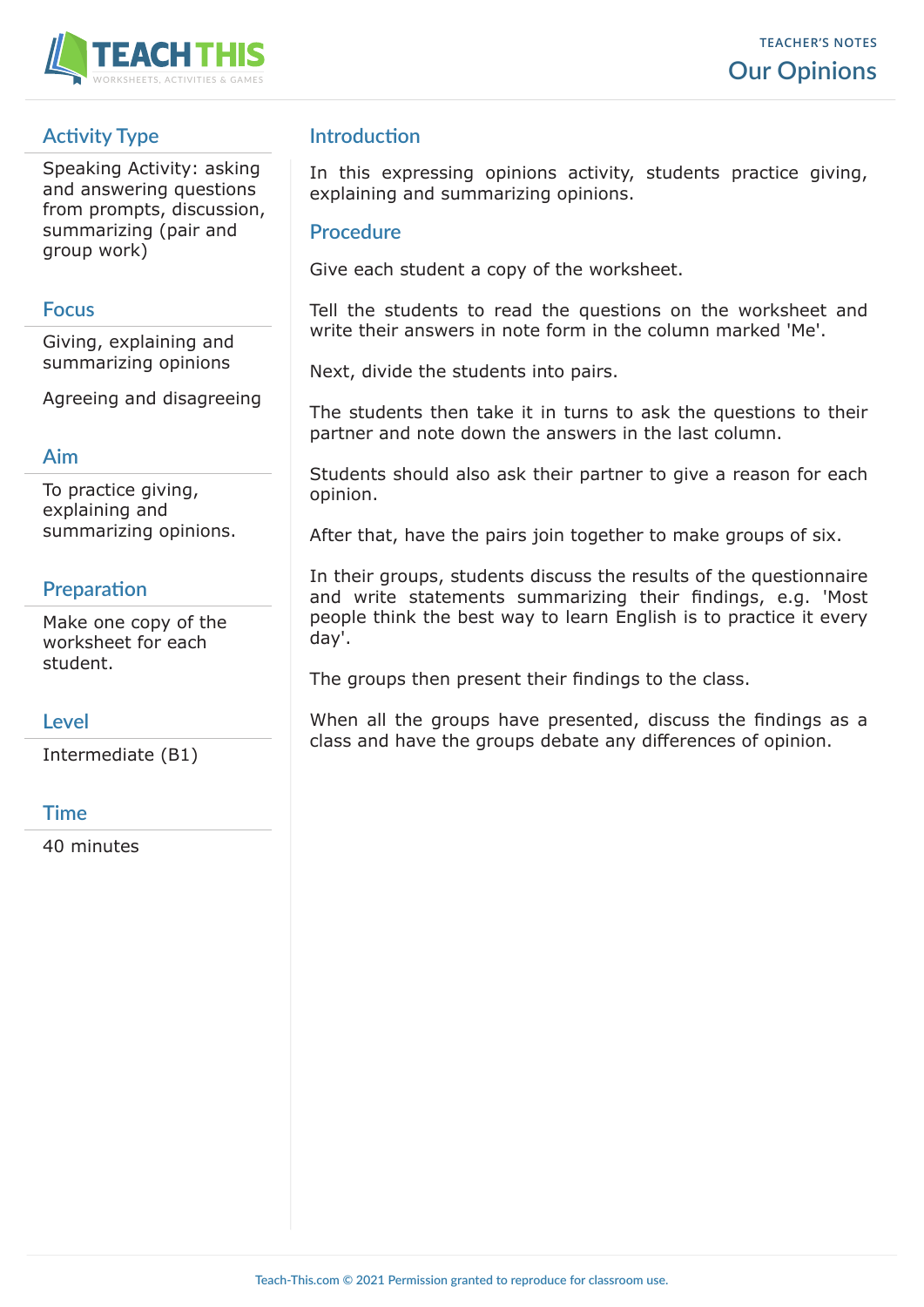

# **Activity Type**

Speaking Activity: asking and answering questions from prompts, discussion, summarizing (pair and group work)

#### **Focus**

Giving, explaining and summarizing opinions

Agreeing and disagreeing

#### **Aim**

To practice giving, explaining and summarizing opinions.

## **Preparation**

Make one copy of the worksheet for each student.

#### **Level**

Intermediate (B1)

#### **Time**

40 minutes

## **Introduction**

In this expressing opinions activity, students practice giving, explaining and summarizing opinions.

#### **Procedure**

Give each student a copy of the worksheet.

Tell the students to read the questions on the worksheet and write their answers in note form in the column marked 'Me'.

Next, divide the students into pairs.

The students then take it in turns to ask the questions to their partner and note down the answers in the last column.

Students should also ask their partner to give a reason for each opinion.

After that, have the pairs join together to make groups of six.

In their groups, students discuss the results of the questionnaire and write statements summarizing their findings, e.g. 'Most people think the best way to learn English is to practice it every day'.

The groups then present their findings to the class.

When all the groups have presented, discuss the findings as a class and have the groups debate any differences of opinion.